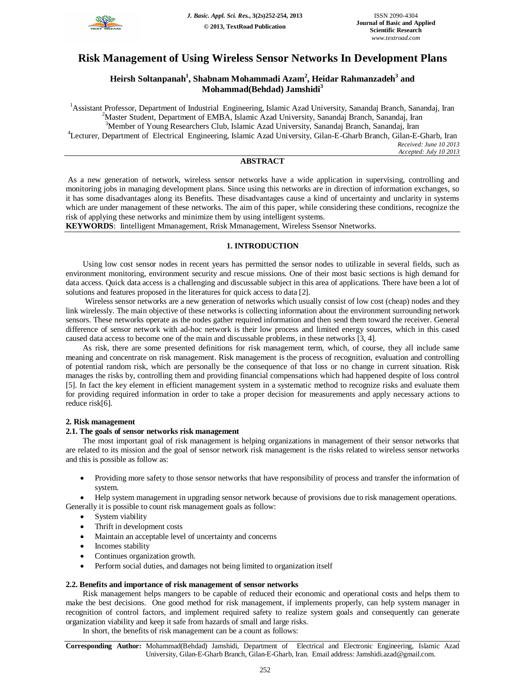

# **Risk Management of Using Wireless Sensor Networks In Development Plans**

# **Heirsh Soltanpanah<sup>1</sup> , Shabnam Mohammadi Azam<sup>2</sup> , Heidar Rahmanzadeh<sup>3</sup> and Mohammad(Behdad) Jamshidi<sup>3</sup>**

<sup>1</sup>Assistant Professor, Department of Industrial Engineering, Islamic Azad University, Sanandaj Branch, Sanandaj, Iran <sup>2</sup>Master Student, Department of EMBA, Islamic Azad University, Sanandaj Branch, Sanandaj, Iran <sup>3</sup>Member of Young Researchers Club, Islamic Azad University, Sanandaj Branch, Sanandaj, Iran <sup>4</sup>Lecturer, Department of Electrical Engineering, Islamic Azad University, Gilan-E-Gharb Branch, Gilan-E-Gharb, Iran *Received: June 10 2013*

*Accepted: July 10 2013*

# **ABSTRACT**

As a new generation of network, wireless sensor networks have a wide application in supervising, controlling and monitoring jobs in managing development plans. Since using this networks are in direction of information exchanges, so it has some disadvantages along its Benefits. These disadvantages cause a kind of uncertainty and unclarity in systems which are under management of these networks. The aim of this paper, while considering these conditions, recognize the risk of applying these networks and minimize them by using intelligent systems.

**KEYWORDS**: Iintelligent Mmanagement, Rrisk Mmanagement, Wireless Ssensor Nnetworks.

# **1. INTRODUCTION**

Using low cost sensor nodes in recent years has permitted the sensor nodes to utilizable in several fields, such as environment monitoring, environment security and rescue missions. One of their most basic sections is high demand for data access. Quick data access is a challenging and discussable subject in this area of applications. There have been a lot of solutions and features proposed in the literatures for quick access to data [2].

Wireless sensor networks are a new generation of networks which usually consist of low cost (cheap) nodes and they link wirelessly. The main objective of these networks is collecting information about the environment surrounding network sensors. These networks operate as the nodes gather required information and then send them toward the receiver. General difference of sensor network with ad-hoc network is their low process and limited energy sources, which in this cased caused data access to become one of the main and discussable problems, in these networks [3, 4].

As risk, there are some presented definitions for risk management term, which, of course, they all include same meaning and concentrate on risk management. Risk management is the process of recognition, evaluation and controlling of potential random risk, which are personally be the consequence of that loss or no change in current situation. Risk manages the risks by, controlling them and providing financial compensations which had happened despite of loss control [5]. In fact the key element in efficient management system in a systematic method to recognize risks and evaluate them for providing required information in order to take a proper decision for measurements and apply necessary actions to reduce risk[6].

### **2. Risk management**

### **2.1. The goals of sensor networks risk management**

The most important goal of risk management is helping organizations in management of their sensor networks that are related to its mission and the goal of sensor network risk management is the risks related to wireless sensor networks and this is possible as follow as:

• Providing more safety to those sensor networks that have responsibility of process and transfer the information of system.

• Help system management in upgrading sensor network because of provisions due to risk management operations. Generally it is possible to count risk management goals as follow:

- System viability
- Thrift in development costs
- Maintain an acceptable level of uncertainty and concerns
- Incomes stability
- Continues organization growth.
- Perform social duties, and damages not being limited to organization itself

### **2.2. Benefits and importance of risk management of sensor networks**

Risk management helps mangers to be capable of reduced their economic and operational costs and helps them to make the best decisions. One good method for risk management, if implements properly, can help system manager in recognition of control factors, and implement required safety to realize system goals and consequently can generate organization viability and keep it safe from hazards of small and large risks.

In short, the benefits of risk management can be a count as follows:

**Corresponding Author:** Mohammad(Behdad) Jamshidi, Department of Electrical and Electronic Engineering, Islamic Azad University, Gilan-E-Gharb Branch, Gilan-E-Gharb, Iran. Email address: Jamshidi.azad@gmail.com.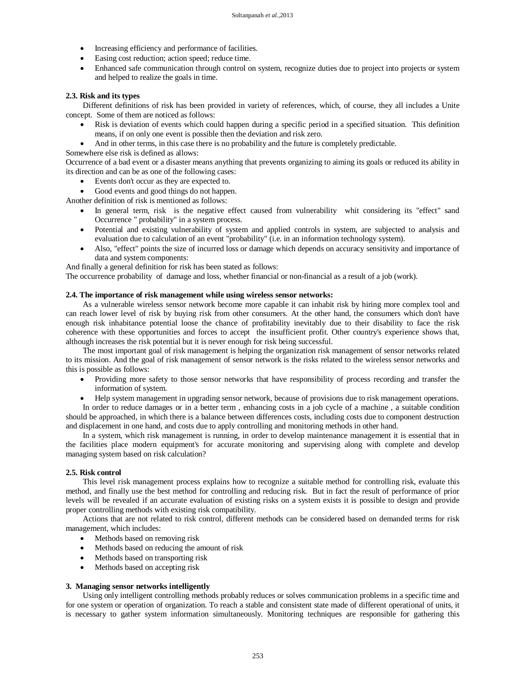- Increasing efficiency and performance of facilities.
- Easing cost reduction; action speed; reduce time.
- Enhanced safe communication through control on system, recognize duties due to project into projects or system and helped to realize the goals in time.

#### **2.3. Risk and its types**

Different definitions of risk has been provided in variety of references, which, of course, they all includes a Unite concept. Some of them are noticed as follows:

- Risk is deviation of events which could happen during a specific period in a specified situation. This definition means, if on only one event is possible then the deviation and risk zero.
- And in other terms, in this case there is no probability and the future is completely predictable.

Somewhere else risk is defined as allows:

Occurrence of a bad event or a disaster means anything that prevents organizing to aiming its goals or reduced its ability in its direction and can be as one of the following cases:

- Events don't occur as they are expected to.
- Good events and good things do not happen.

Another definition of risk is mentioned as follows:

- In general term, risk is the negative effect caused from vulnerability whit considering its "effect" sand Occurrence " probability" in a system process.
- Potential and existing vulnerability of system and applied controls in system, are subjected to analysis and evaluation due to calculation of an event "probability" (i.e. in an information technology system).
- Also, "effect" points the size of incurred loss or damage which depends on accuracy sensitivity and importance of data and system components:

And finally a general definition for risk has been stated as follows:

The occurrence probability of damage and loss, whether financial or non-financial as a result of a job (work).

#### **2.4. The importance of risk management while using wireless sensor networks:**

As a vulnerable wireless sensor network become more capable it can inhabit risk by hiring more complex tool and can reach lower level of risk by buying risk from other consumers. At the other hand, the consumers which don't have enough risk inhabitance potential loose the chance of profitability inevitably due to their disability to face the risk coherence with these opportunities and forces to accept the insufficient profit. Other country's experience shows that, although increases the risk potential but it is never enough for risk being successful.

The most important goal of risk management is helping the organization risk management of sensor networks related to its mission. And the goal of risk management of sensor network is the risks related to the wireless sensor networks and this is possible as follows:

- Providing more safety to those sensor networks that have responsibility of process recording and transfer the information of system.
- Help system management in upgrading sensor network, because of provisions due to risk management operations.

In order to reduce damages or in a better term , enhancing costs in a job cycle of a machine , a suitable condition should be approached, in which there is a balance between differences costs, including costs due to component destruction and displacement in one hand, and costs due to apply controlling and monitoring methods in other hand.

In a system, which risk management is running, in order to develop maintenance management it is essential that in the facilities place modern equipment's for accurate monitoring and supervising along with complete and develop managing system based on risk calculation?

#### **2.5. Risk control**

This level risk management process explains how to recognize a suitable method for controlling risk, evaluate this method, and finally use the best method for controlling and reducing risk. But in fact the result of performance of prior levels will be revealed if an accurate evaluation of existing risks on a system exists it is possible to design and provide proper controlling methods with existing risk compatibility.

Actions that are not related to risk control, different methods can be considered based on demanded terms for risk management, which includes:

- Methods based on removing risk
- Methods based on reducing the amount of risk
- Methods based on transporting risk
- Methods based on accepting risk

#### **3. Managing sensor networks intelligently**

Using only intelligent controlling methods probably reduces or solves communication problems in a specific time and for one system or operation of organization. To reach a stable and consistent state made of different operational of units, it is necessary to gather system information simultaneously. Monitoring techniques are responsible for gathering this